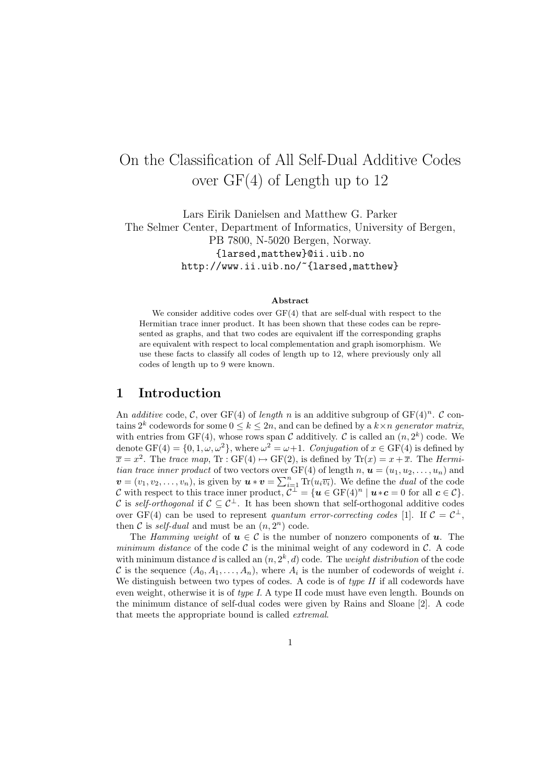# On the Classification of All Self-Dual Additive Codes over GF(4) of Length up to 12

Lars Eirik Danielsen and Matthew G. Parker The Selmer Center, Department of Informatics, University of Bergen, PB 7800, N-5020 Bergen, Norway. {larsed,matthew}@ii.uib.no

http://www.ii.uib.no/~{larsed,matthew}

#### Abstract

We consider additive codes over  $GF(4)$  that are self-dual with respect to the Hermitian trace inner product. It has been shown that these codes can be represented as graphs, and that two codes are equivalent iff the corresponding graphs are equivalent with respect to local complementation and graph isomorphism. We use these facts to classify all codes of length up to 12, where previously only all codes of length up to 9 were known.

# 1 Introduction

An additive code, C, over GF(4) of length n is an additive subgroup of  $GF(4)^n$ . C contains  $2^k$  codewords for some  $0 \leq k \leq 2n$ , and can be defined by a  $k \times n$  generator matrix, with entries from GF(4), whose rows span C additively. C is called an  $(n, 2<sup>k</sup>)$  code. We denote  $GF(4) = \{0, 1, \omega, \omega^2\}$ , where  $\omega^2 = \omega + 1$ . Conjugation of  $x \in GF(4)$  is defined by  $\overline{x} = x^2$ . The trace map,  $\text{Tr} : \text{GF}(4) \mapsto \text{GF}(2)$ , is defined by  $\text{Tr}(x) = x + \overline{x}$ . The Hermitian trace inner product of two vectors over GF(4) of length n,  $u = (u_1, u_2, \ldots, u_n)$  and  $\mathbf{v}=(v_1,v_2,\ldots,v_n)$ , is given by  $\mathbf{u}\ast\mathbf{v}=\sum_{i=1}^n\text{Tr}(u_i\overline{v_i})$ . We define the *dual* of the code C with respect to this trace inner product,  $\mathcal{C}^{\perp} = {\mathbf{u} \in \text{GF}(4)^n \mid \mathbf{u} * \mathbf{c} = 0 \text{ for all } \mathbf{c} \in \mathcal{C}}.$ C is self-orthogonal if  $C \subseteq C^{\perp}$ . It has been shown that self-orthogonal additive codes over GF(4) can be used to represent quantum error-correcting codes [1]. If  $C = C^{\perp}$ , then C is self-dual and must be an  $(n, 2<sup>n</sup>)$  code.

The Hamming weight of  $u \in \mathcal{C}$  is the number of nonzero components of u. The minimum distance of the code  $\mathcal C$  is the minimal weight of any codeword in  $\mathcal C$ . A code with minimum distance d is called an  $(n, 2<sup>k</sup>, d)$  code. The *weight distribution* of the code C is the sequence  $(A_0, A_1, \ldots, A_n)$ , where  $A_i$  is the number of codewords of weight i. We distinguish between two types of codes. A code is of  $type II$  if all codewords have even weight, otherwise it is of type I. A type II code must have even length. Bounds on the minimum distance of self-dual codes were given by Rains and Sloane [2]. A code that meets the appropriate bound is called extremal.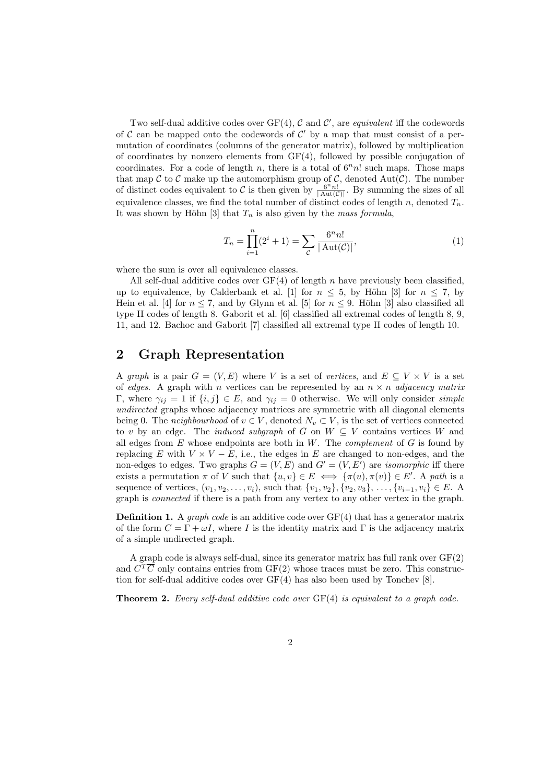Two self-dual additive codes over  $GF(4)$ ,  $C$  and  $C'$ , are equivalent iff the codewords of  $\mathcal C$  can be mapped onto the codewords of  $\mathcal C'$  by a map that must consist of a permutation of coordinates (columns of the generator matrix), followed by multiplication of coordinates by nonzero elements from GF(4), followed by possible conjugation of coordinates. For a code of length n, there is a total of  $6<sup>n</sup>n!$  such maps. Those maps that map C to C make up the automorphism group of C, denoted Aut(C). The number of distinct codes equivalent to C is then given by  $\frac{6^n n!}{|\text{Aut}(\mathcal{C})|}$ . By summing the sizes of all equivalence classes, we find the total number of distinct codes of length n, denoted  $T_n$ . It was shown by Höhn [3] that  $T_n$  is also given by the mass formula,

$$
T_n = \prod_{i=1}^n (2^i + 1) = \sum_{\mathcal{C}} \frac{6^n n!}{|\operatorname{Aut}(\mathcal{C})|},\tag{1}
$$

where the sum is over all equivalence classes.

All self-dual additive codes over  $GF(4)$  of length n have previously been classified, up to equivalence, by Calderbank et al. [1] for  $n \leq 5$ , by Höhn [3] for  $n \leq 7$ , by Hein et al. [4] for  $n \leq 7$ , and by Glynn et al. [5] for  $n \leq 9$ . Höhn [3] also classified all type II codes of length 8. Gaborit et al. [6] classified all extremal codes of length 8, 9, 11, and 12. Bachoc and Gaborit [7] classified all extremal type II codes of length 10.

# 2 Graph Representation

A graph is a pair  $G = (V, E)$  where V is a set of vertices, and  $E \subseteq V \times V$  is a set of edges. A graph with n vertices can be represented by an  $n \times n$  adjacency matrix Γ, where  $γ_{ij} = 1$  if  $\{i, j\} \in E$ , and  $γ_{ij} = 0$  otherwise. We will only consider *simple* undirected graphs whose adjacency matrices are symmetric with all diagonal elements being 0. The *neighbourhood* of  $v \in V$ , denoted  $N_v \subset V$ , is the set of vertices connected to v by an edge. The *induced subgraph* of G on  $W \subseteq V$  contains vertices W and all edges from  $E$  whose endpoints are both in  $W$ . The *complement* of  $G$  is found by replacing E with  $V \times V - E$ , i.e., the edges in E are changed to non-edges, and the non-edges to edges. Two graphs  $G = (V, E)$  and  $G' = (V, E')$  are *isomorphic* iff there exists a permutation  $\pi$  of V such that  $\{u, v\} \in E \iff \{\pi(u), \pi(v)\} \in E'$ . A path is a sequence of vertices,  $(v_1, v_2, \ldots, v_i)$ , such that  $\{v_1, v_2\}, \{v_2, v_3\}, \ldots, \{v_{i-1}, v_i\} \in E$ . graph is connected if there is a path from any vertex to any other vertex in the graph.

**Definition 1.** A graph code is an additive code over  $GF(4)$  that has a generator matrix of the form  $C = \Gamma + \omega I$ , where I is the identity matrix and  $\Gamma$  is the adjacency matrix of a simple undirected graph.

A graph code is always self-dual, since its generator matrix has full rank over GF(2) and  $C^T\overline{C}$  only contains entries from GF(2) whose traces must be zero. This construction for self-dual additive codes over GF(4) has also been used by Tonchev [8].

**Theorem 2.** Every self-dual additive code over  $GF(4)$  is equivalent to a graph code.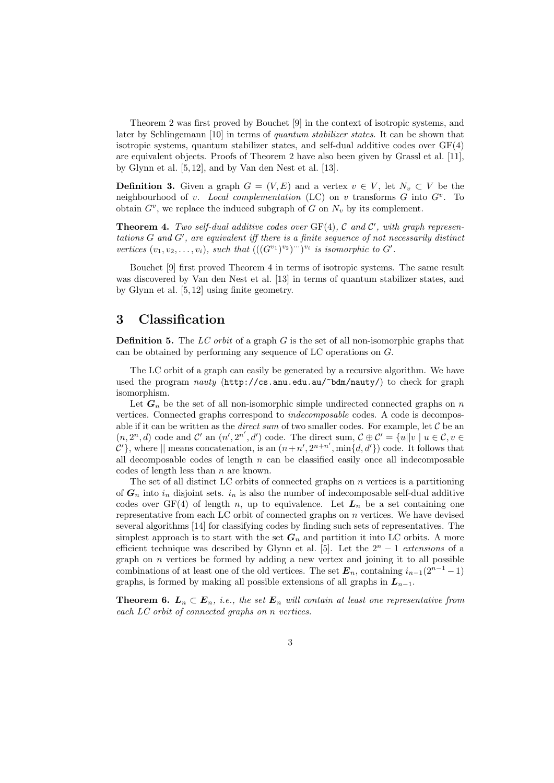Theorem 2 was first proved by Bouchet [9] in the context of isotropic systems, and later by Schlingemann [10] in terms of quantum stabilizer states. It can be shown that isotropic systems, quantum stabilizer states, and self-dual additive codes over GF(4) are equivalent objects. Proofs of Theorem 2 have also been given by Grassl et al. [11], by Glynn et al. [5, 12], and by Van den Nest et al. [13].

**Definition 3.** Given a graph  $G = (V, E)$  and a vertex  $v \in V$ , let  $N_v \subset V$  be the neighbourhood of v. Local complementation (LC) on v transforms  $G$  into  $G^v$ . To obtain  $G^v$ , we replace the induced subgraph of G on  $N_v$  by its complement.

**Theorem 4.** Two self-dual additive codes over  $GF(4)$ ,  $C$  and  $C'$ , with graph represen $tations G and G', are equivalent iff there is a finite sequence of not necessarily distinct$ vertices  $(v_1, v_2, \ldots, v_i)$ , such that  $(((G^{v_1})^{v_2})^{v_1})^{v_i}$  is isomorphic to  $G'$ .

Bouchet [9] first proved Theorem 4 in terms of isotropic systems. The same result was discovered by Van den Nest et al. [13] in terms of quantum stabilizer states, and by Glynn et al. [5, 12] using finite geometry.

# 3 Classification

**Definition 5.** The LC orbit of a graph G is the set of all non-isomorphic graphs that can be obtained by performing any sequence of LC operations on  $G$ .

The LC orbit of a graph can easily be generated by a recursive algorithm. We have used the program nauty (http://cs.anu.edu.au/~bdm/nauty/) to check for graph isomorphism.

Let  $G_n$  be the set of all non-isomorphic simple undirected connected graphs on n vertices. Connected graphs correspond to indecomposable codes. A code is decomposable if it can be written as the *direct sum* of two smaller codes. For example, let  $C$  be an  $(n, 2^n, d)$  code and C' an  $(n', 2^{n'}, d')$  code. The direct sum,  $C \oplus C' = \{u \mid |v| \mid u \in C, v \in C\}$  $\mathcal{C}'$ , where  $\parallel$  means concatenation, is an  $(n+n', 2^{n+n'}, \min\{d, d'\})$  code. It follows that all decomposable codes of length  $n$  can be classified easily once all indecomposable codes of length less than n are known.

The set of all distinct LC orbits of connected graphs on  $n$  vertices is a partitioning of  $G_n$  into  $i_n$  disjoint sets.  $i_n$  is also the number of indecomposable self-dual additive codes over GF(4) of length n, up to equivalence. Let  $L_n$  be a set containing one representative from each LC orbit of connected graphs on  $n$  vertices. We have devised several algorithms [14] for classifying codes by finding such sets of representatives. The simplest approach is to start with the set  $G_n$  and partition it into LC orbits. A more efficient technique was described by Glynn et al. [5]. Let the  $2<sup>n</sup> - 1$  extensions of a graph on  $n$  vertices be formed by adding a new vertex and joining it to all possible combinations of at least one of the old vertices. The set  $E_n$ , containing  $i_{n-1}(2^{n-1}-1)$ graphs, is formed by making all possible extensions of all graphs in  $L_{n-1}$ .

**Theorem 6.**  $L_n \subset E_n$ , i.e., the set  $E_n$  will contain at least one representative from each LC orbit of connected graphs on n vertices.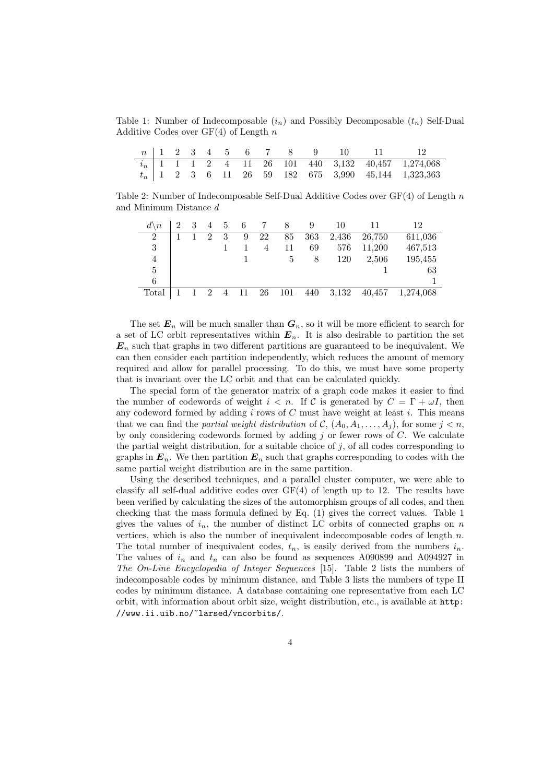Table 1: Number of Indecomposable  $(i_n)$  and Possibly Decomposable  $(t_n)$  Self-Dual Additive Codes over  $GF(4)$  of Length n

|  |  |  |  |  | $n \begin{pmatrix} 1 & 2 & 3 & 4 & 5 & 6 & 7 & 8 & 9 & 10 & 11 \end{pmatrix}$ |                                                                                                                                 |
|--|--|--|--|--|-------------------------------------------------------------------------------|---------------------------------------------------------------------------------------------------------------------------------|
|  |  |  |  |  |                                                                               | $\begin{array}{ c ccccc } \hline i_n & 1 & 1 & 1 & 2 & 4 & 11 & 26 & 101 & 440 & 3,132 & 40,457 & 1,274,068 \hline \end{array}$ |
|  |  |  |  |  |                                                                               | $t_n$   1 2 3 6 11 26 59 182 675 3,990 45,144 1,323,363                                                                         |

Table 2: Number of Indecomposable Self-Dual Additive Codes over  $GF(4)$  of Length n and Minimum Distance d

| $d \backslash n$ |  | $\overline{4}$ | 5 | 6   | 7              | 8   | 9   | 10    |        | 12        |
|------------------|--|----------------|---|-----|----------------|-----|-----|-------|--------|-----------|
| $\overline{2}$   |  | $\mathcal{D}$  | 3 | 9   | 22             | 85  | 363 | 2,436 | 26,750 | 611,036   |
| 3                |  |                |   |     | $\overline{4}$ | 11  | 69  | 576   | 11.200 | 467,513   |
| 4                |  |                |   |     |                | 5   | 8   | 120   | 2,506  | 195,455   |
| 5                |  |                |   |     |                |     |     |       |        | 63        |
| 6                |  |                |   |     |                |     |     |       |        |           |
| Total            |  | $\overline{2}$ | 4 | -11 | 26             | 101 | 440 | 3,132 | 40,457 | 1,274,068 |

The set  $E_n$  will be much smaller than  $G_n$ , so it will be more efficient to search for a set of LC orbit representatives within  $E_n$ . It is also desirable to partition the set  $\mathbf{E}_n$  such that graphs in two different partitions are guaranteed to be inequivalent. We can then consider each partition independently, which reduces the amount of memory required and allow for parallel processing. To do this, we must have some property that is invariant over the LC orbit and that can be calculated quickly.

The special form of the generator matrix of a graph code makes it easier to find the number of codewords of weight  $i < n$ . If C is generated by  $C = \Gamma + \omega I$ , then any codeword formed by adding  $i$  rows of  $C$  must have weight at least  $i$ . This means that we can find the *partial weight distribution* of  $\mathcal{C}, (\mathcal{A}_0, \mathcal{A}_1, \ldots, \mathcal{A}_i)$ , for some  $j < n$ , by only considering codewords formed by adding  $j$  or fewer rows of  $C$ . We calculate the partial weight distribution, for a suitable choice of  $j$ , of all codes corresponding to graphs in  $E_n$ . We then partition  $E_n$  such that graphs corresponding to codes with the same partial weight distribution are in the same partition.

Using the described techniques, and a parallel cluster computer, we were able to classify all self-dual additive codes over  $GF(4)$  of length up to 12. The results have been verified by calculating the sizes of the automorphism groups of all codes, and then checking that the mass formula defined by Eq. (1) gives the correct values. Table 1 gives the values of  $i_n$ , the number of distinct LC orbits of connected graphs on n vertices, which is also the number of inequivalent indecomposable codes of length  $n$ . The total number of inequivalent codes,  $t_n$ , is easily derived from the numbers  $i_n$ . The values of  $i_n$  and  $t_n$  can also be found as sequences A090899 and A094927 in The On-Line Encyclopedia of Integer Sequences [15]. Table 2 lists the numbers of indecomposable codes by minimum distance, and Table 3 lists the numbers of type II codes by minimum distance. A database containing one representative from each LC orbit, with information about orbit size, weight distribution, etc., is available at http: //www.ii.uib.no/~larsed/vncorbits/.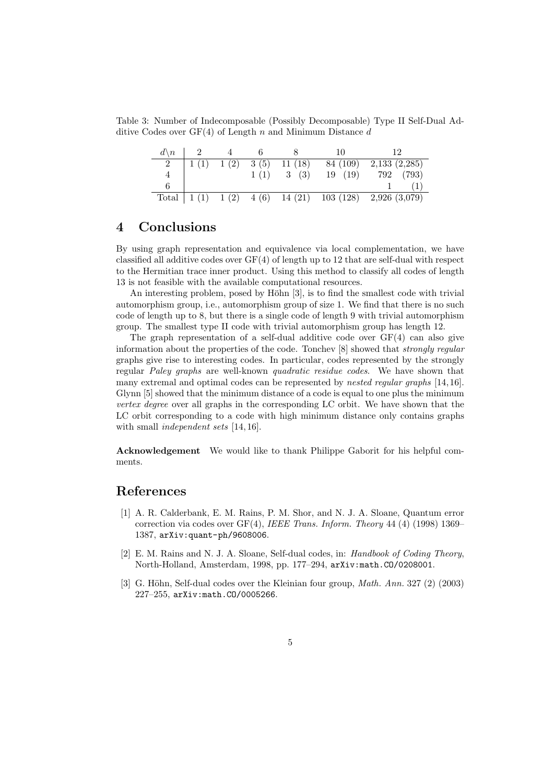Table 3: Number of Indecomposable (Possibly Decomposable) Type II Self-Dual Additive Codes over  $GF(4)$  of Length n and Minimum Distance d

| $d \backslash n$ |      |      |                        | 10       |                                                              |
|------------------|------|------|------------------------|----------|--------------------------------------------------------------|
| $\overline{2}$   | 1(1) |      | $1(2)$ $3(5)$ $11(18)$ | 84 (109) | 2,133(2,285)                                                 |
|                  |      | 1(1) | 3(3)                   | 19(19)   | (793)<br>792                                                 |
|                  |      |      |                        |          |                                                              |
|                  |      |      |                        |          | Total   1 (1) $1(2)$ 4 (6) $14(21)$ 103 (128) $2,926(3,079)$ |

# 4 Conclusions

By using graph representation and equivalence via local complementation, we have classified all additive codes over  $GF(4)$  of length up to 12 that are self-dual with respect to the Hermitian trace inner product. Using this method to classify all codes of length 13 is not feasible with the available computational resources.

An interesting problem, posed by Höhn  $[3]$ , is to find the smallest code with trivial automorphism group, i.e., automorphism group of size 1. We find that there is no such code of length up to 8, but there is a single code of length 9 with trivial automorphism group. The smallest type II code with trivial automorphism group has length 12.

The graph representation of a self-dual additive code over  $GF(4)$  can also give information about the properties of the code. Tonchev [8] showed that strongly regular graphs give rise to interesting codes. In particular, codes represented by the strongly regular Paley graphs are well-known quadratic residue codes. We have shown that many extremal and optimal codes can be represented by *nested regular graphs* [14, 16]. Glynn [5] showed that the minimum distance of a code is equal to one plus the minimum vertex degree over all graphs in the corresponding LC orbit. We have shown that the LC orbit corresponding to a code with high minimum distance only contains graphs with small *independent sets* [14, 16].

Acknowledgement We would like to thank Philippe Gaborit for his helpful comments.

# References

- [1] A. R. Calderbank, E. M. Rains, P. M. Shor, and N. J. A. Sloane, Quantum error correction via codes over  $GF(4)$ , IEEE Trans. Inform. Theory 44 (4) (1998) 1369– 1387, arXiv:quant-ph/9608006.
- [2] E. M. Rains and N. J. A. Sloane, Self-dual codes, in: Handbook of Coding Theory, North-Holland, Amsterdam, 1998, pp. 177–294, arXiv:math.CO/0208001.
- [3] G. Höhn, Self-dual codes over the Kleinian four group,  $Math. Ann. 327 (2) (2003)$ 227–255, arXiv:math.CO/0005266.